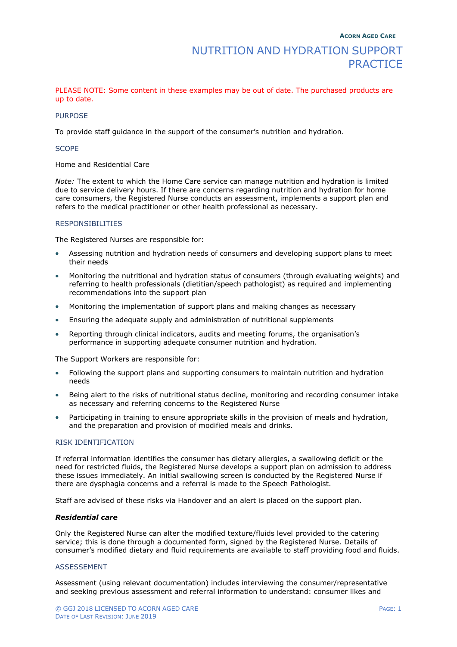PLEASE NOTE: Some content in these examples may be out of date. The purchased products are up to date.

### **PURPOSE**

To provide staff guidance in the support of the consumer's nutrition and hydration.

### **SCOPE**

Home and Residential Care

*Note:* The extent to which the Home Care service can manage nutrition and hydration is limited due to service delivery hours. If there are concerns regarding nutrition and hydration for home care consumers, the Registered Nurse conducts an assessment, implements a support plan and refers to the medical practitioner or other health professional as necessary.

### RESPONSIBILITIES

The Registered Nurses are responsible for:

- Assessing nutrition and hydration needs of consumers and developing support plans to meet their needs
- Monitoring the nutritional and hydration status of consumers (through evaluating weights) and referring to health professionals (dietitian/speech pathologist) as required and implementing recommendations into the support plan
- Monitoring the implementation of support plans and making changes as necessary
- Ensuring the adequate supply and administration of nutritional supplements
- Reporting through clinical indicators, audits and meeting forums, the organisation's performance in supporting adequate consumer nutrition and hydration.

The Support Workers are responsible for:

- Following the support plans and supporting consumers to maintain nutrition and hydration needs
- Being alert to the risks of nutritional status decline, monitoring and recording consumer intake as necessary and referring concerns to the Registered Nurse
- Participating in training to ensure appropriate skills in the provision of meals and hydration, and the preparation and provision of modified meals and drinks.

### RISK IDENTIFICATION

If referral information identifies the consumer has dietary allergies, a swallowing deficit or the need for restricted fluids, the Registered Nurse develops a support plan on admission to address these issues immediately. An initial swallowing screen is conducted by the Registered Nurse if there are dysphagia concerns and a referral is made to the Speech Pathologist.

Staff are advised of these risks via Handover and an alert is placed on the support plan.

### *Residential care*

Only the Registered Nurse can alter the modified texture/fluids level provided to the catering service; this is done through a documented form, signed by the Registered Nurse. Details of consumer's modified dietary and fluid requirements are available to staff providing food and fluids.

### ASSESSEMENT

Assessment (using relevant documentation) includes interviewing the consumer/representative and seeking previous assessment and referral information to understand: consumer likes and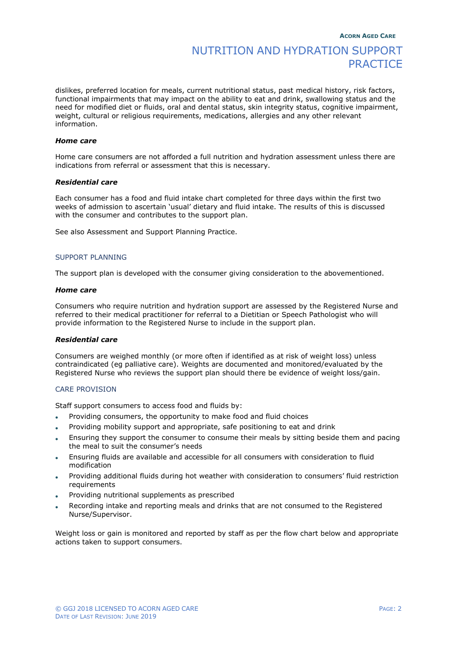# NUTRITION AND HYDRATION SUPPORT **PRACTICE**

dislikes, preferred location for meals, current nutritional status, past medical history, risk factors, functional impairments that may impact on the ability to eat and drink, swallowing status and the need for modified diet or fluids, oral and dental status, skin integrity status, cognitive impairment, weight, cultural or religious requirements, medications, allergies and any other relevant information.

### *Home care*

Home care consumers are not afforded a full nutrition and hydration assessment unless there are indications from referral or assessment that this is necessary.

### *Residential care*

Each consumer has a food and fluid intake chart completed for three days within the first two weeks of admission to ascertain 'usual' dietary and fluid intake. The results of this is discussed with the consumer and contributes to the support plan.

See also Assessment and Support Planning Practice.

### SUPPORT PLANNING

The support plan is developed with the consumer giving consideration to the abovementioned.

#### *Home care*

Consumers who require nutrition and hydration support are assessed by the Registered Nurse and referred to their medical practitioner for referral to a Dietitian or Speech Pathologist who will provide information to the Registered Nurse to include in the support plan.

### *Residential care*

Consumers are weighed monthly (or more often if identified as at risk of weight loss) unless contraindicated (eg palliative care). Weights are documented and monitored/evaluated by the Registered Nurse who reviews the support plan should there be evidence of weight loss/gain.

### CARE PROVISION

Staff support consumers to access food and fluids by:

- Providing consumers, the opportunity to make food and fluid choices
- Providing mobility support and appropriate, safe positioning to eat and drink
- Ensuring they support the consumer to consume their meals by sitting beside them and pacing the meal to suit the consumer's needs
- Ensuring fluids are available and accessible for all consumers with consideration to fluid modification
- Providing additional fluids during hot weather with consideration to consumers' fluid restriction requirements
- Providing nutritional supplements as prescribed
- Recording intake and reporting meals and drinks that are not consumed to the Registered Nurse/Supervisor.

Weight loss or gain is monitored and reported by staff as per the flow chart below and appropriate actions taken to support consumers.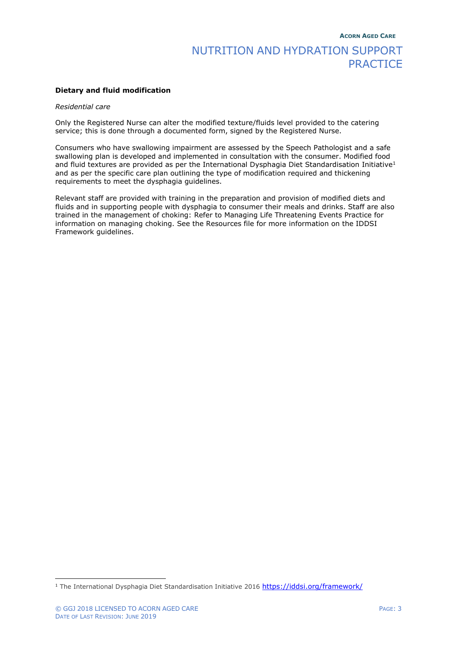# NUTRITION AND HYDRATION SUPPORT **PRACTICE**

### **Dietary and fluid modification**

### *Residential care*

Only the Registered Nurse can alter the modified texture/fluids level provided to the catering service; this is done through a documented form, signed by the Registered Nurse.

Consumers who have swallowing impairment are assessed by the Speech Pathologist and a safe swallowing plan is developed and implemented in consultation with the consumer. Modified food and fluid textures are provided as per the International Dysphagia Diet Standardisation Initiative<sup>1</sup> and as per the specific care plan outlining the type of modification required and thickening requirements to meet the dysphagia guidelines.

Relevant staff are provided with training in the preparation and provision of modified diets and fluids and in supporting people with dysphagia to consumer their meals and drinks. Staff are also trained in the management of choking: Refer to Managing Life Threatening Events Practice for information on managing choking. See the Resources file for more information on the IDDSI Framework guidelines.

<sup>1</sup> The International Dysphagia Diet Standardisation Initiative 2016 <https://iddsi.org/framework/>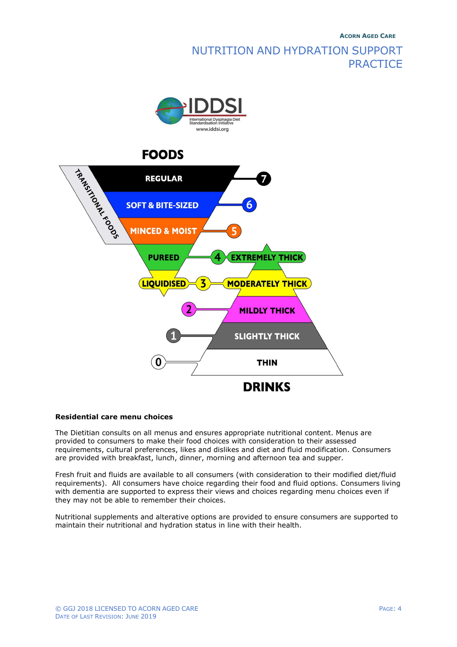# **ACORN AGED CARE** NUTRITION AND HYDRATION SUPPORT **PRACTICE**



## **Residential care menu choices**

The Dietitian consults on all menus and ensures appropriate nutritional content. Menus are provided to consumers to make their food choices with consideration to their assessed requirements, cultural preferences, likes and dislikes and diet and fluid modification. Consumers are provided with breakfast, lunch, dinner, morning and afternoon tea and supper.

Fresh fruit and fluids are available to all consumers (with consideration to their modified diet/fluid requirements). All consumers have choice regarding their food and fluid options. Consumers living with dementia are supported to express their views and choices regarding menu choices even if they may not be able to remember their choices.

Nutritional supplements and alterative options are provided to ensure consumers are supported to maintain their nutritional and hydration status in line with their health.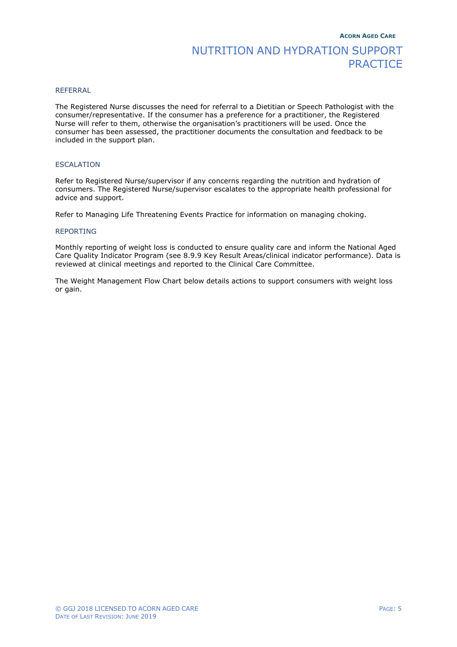# NUTRITION AND HYDRATION SUPPORT **PRACTICE**

### REFERRAL

The Registered Nurse discusses the need for referral to a Dietitian or Speech Pathologist with the consumer/representative. If the consumer has a preference for a practitioner, the Registered Nurse will refer to them, otherwise the organisation's practitioners will be used. Once the consumer has been assessed, the practitioner documents the consultation and feedback to be included in the support plan.

## **ESCALATION**

Refer to Registered Nurse/supervisor if any concerns regarding the nutrition and hydration of consumers. The Registered Nurse/supervisor escalates to the appropriate health professional for advice and support.

Refer to Managing Life Threatening Events Practice for information on managing choking.

## REPORTING

Monthly reporting of weight loss is conducted to ensure quality care and inform the National Aged Care Quality Indicator Program (see 8.9.9 Key Result Areas/clinical indicator performance). Data is reviewed at clinical meetings and reported to the Clinical Care Committee.

The Weight Management Flow Chart below details actions to support consumers with weight loss or gain.